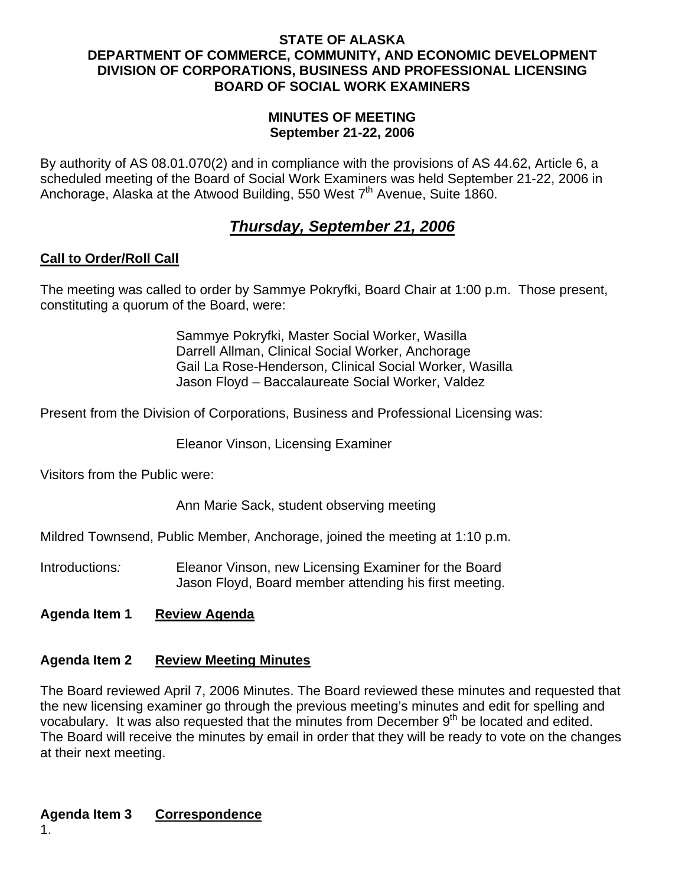#### **STATE OF ALASKA DEPARTMENT OF COMMERCE, COMMUNITY, AND ECONOMIC DEVELOPMENT DIVISION OF CORPORATIONS, BUSINESS AND PROFESSIONAL LICENSING BOARD OF SOCIAL WORK EXAMINERS**

#### **MINUTES OF MEETING September 21-22, 2006**

By authority of AS 08.01.070(2) and in compliance with the provisions of AS 44.62, Article 6, a scheduled meeting of the Board of Social Work Examiners was held September 21-22, 2006 in Anchorage, Alaska at the Atwood Building, 550 West  $7<sup>th</sup>$  Avenue, Suite 1860.

# *Thursday, September 21, 2006*

## **Call to Order/Roll Call**

The meeting was called to order by Sammye Pokryfki, Board Chair at 1:00 p.m. Those present, constituting a quorum of the Board, were:

> Sammye Pokryfki, Master Social Worker, Wasilla Darrell Allman, Clinical Social Worker, Anchorage Gail La Rose-Henderson, Clinical Social Worker, Wasilla Jason Floyd – Baccalaureate Social Worker, Valdez

Present from the Division of Corporations, Business and Professional Licensing was:

Eleanor Vinson, Licensing Examiner

Visitors from the Public were:

Ann Marie Sack, student observing meeting

Mildred Townsend, Public Member, Anchorage, joined the meeting at 1:10 p.m.

Introductions*:* Eleanor Vinson, new Licensing Examiner for the Board Jason Floyd, Board member attending his first meeting.

### **Agenda Item 1 Review Agenda**

### **Agenda Item 2 Review Meeting Minutes**

The Board reviewed April 7, 2006 Minutes. The Board reviewed these minutes and requested that the new licensing examiner go through the previous meeting's minutes and edit for spelling and vocabulary. It was also requested that the minutes from December 9<sup>th</sup> be located and edited. The Board will receive the minutes by email in order that they will be ready to vote on the changes at their next meeting.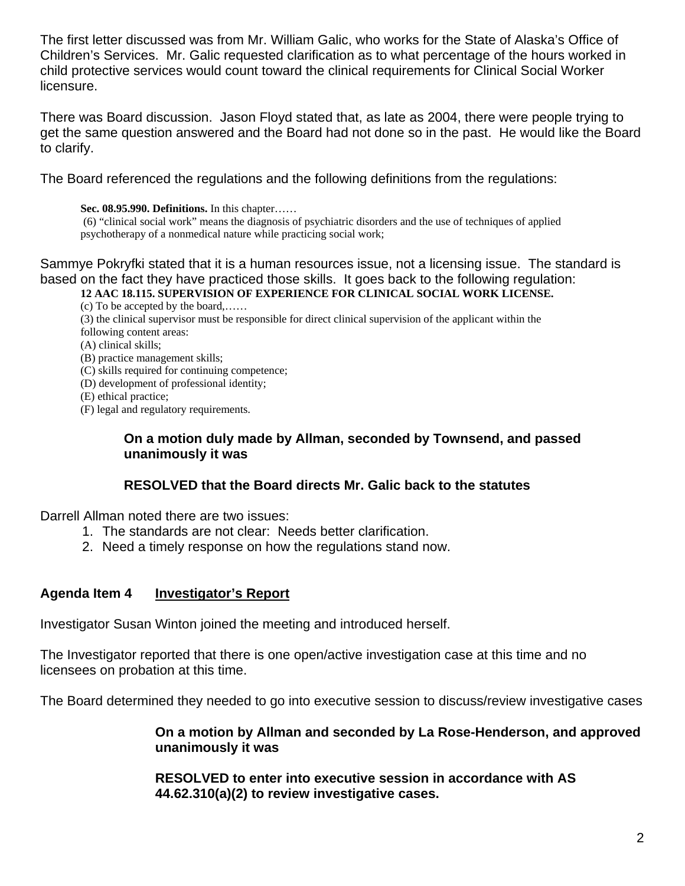The first letter discussed was from Mr. William Galic, who works for the State of Alaska's Office of Children's Services. Mr. Galic requested clarification as to what percentage of the hours worked in child protective services would count toward the clinical requirements for Clinical Social Worker licensure.

There was Board discussion. Jason Floyd stated that, as late as 2004, there were people trying to get the same question answered and the Board had not done so in the past. He would like the Board to clarify.

The Board referenced the regulations and the following definitions from the regulations:

#### **Sec. 08.95.990. Definitions.** In this chapter……

 (6) "clinical social work" means the diagnosis of psychiatric disorders and the use of techniques of applied psychotherapy of a nonmedical nature while practicing social work;

Sammye Pokryfki stated that it is a human resources issue, not a licensing issue. The standard is based on the fact they have practiced those skills. It goes back to the following regulation:

**12 AAC 18.115. SUPERVISION OF EXPERIENCE FOR CLINICAL SOCIAL WORK LICENSE.**

- (c) To be accepted by the board,……
- (3) the clinical supervisor must be responsible for direct clinical supervision of the applicant within the
- following content areas:
- (A) clinical skills;
- (B) practice management skills;
- (C) skills required for continuing competence;
- (D) development of professional identity;
- (E) ethical practice;
- (F) legal and regulatory requirements.

### **On a motion duly made by Allman, seconded by Townsend, and passed unanimously it was**

## **RESOLVED that the Board directs Mr. Galic back to the statutes**

Darrell Allman noted there are two issues:

- 1. The standards are not clear: Needs better clarification.
- 2. Need a timely response on how the regulations stand now.

### **Agenda Item 4 Investigator's Report**

Investigator Susan Winton joined the meeting and introduced herself.

The Investigator reported that there is one open/active investigation case at this time and no licensees on probation at this time.

The Board determined they needed to go into executive session to discuss/review investigative cases

## **On a motion by Allman and seconded by La Rose-Henderson, and approved unanimously it was**

 **RESOLVED to enter into executive session in accordance with AS 44.62.310(a)(2) to review investigative cases.**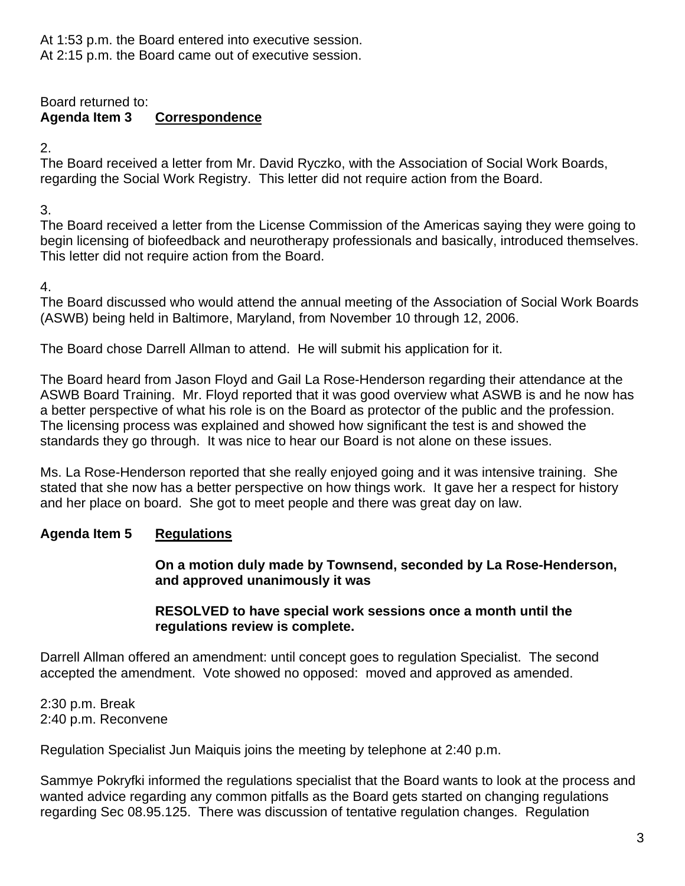At 1:53 p.m. the Board entered into executive session. At 2:15 p.m. the Board came out of executive session.

Board returned to: **Agenda Item 3 Correspondence** 

2.

The Board received a letter from Mr. David Ryczko, with the Association of Social Work Boards, regarding the Social Work Registry. This letter did not require action from the Board.

3.

 The Board received a letter from the License Commission of the Americas saying they were going to begin licensing of biofeedback and neurotherapy professionals and basically, introduced themselves. This letter did not require action from the Board.

4.

The Board discussed who would attend the annual meeting of the Association of Social Work Boards (ASWB) being held in Baltimore, Maryland, from November 10 through 12, 2006.

The Board chose Darrell Allman to attend. He will submit his application for it.

The Board heard from Jason Floyd and Gail La Rose-Henderson regarding their attendance at the ASWB Board Training. Mr. Floyd reported that it was good overview what ASWB is and he now has a better perspective of what his role is on the Board as protector of the public and the profession. The licensing process was explained and showed how significant the test is and showed the standards they go through. It was nice to hear our Board is not alone on these issues.

 Ms. La Rose-Henderson reported that she really enjoyed going and it was intensive training. She stated that she now has a better perspective on how things work. It gave her a respect for history and her place on board. She got to meet people and there was great day on law.

# **Agenda Item 5 Regulations**

**On a motion duly made by Townsend, seconded by La Rose-Henderson, and approved unanimously it was** 

## **RESOLVED to have special work sessions once a month until the regulations review is complete.**

Darrell Allman offered an amendment: until concept goes to regulation Specialist. The second accepted the amendment. Vote showed no opposed: moved and approved as amended.

2:30 p.m. Break 2:40 p.m. Reconvene

Regulation Specialist Jun Maiquis joins the meeting by telephone at 2:40 p.m.

Sammye Pokryfki informed the regulations specialist that the Board wants to look at the process and wanted advice regarding any common pitfalls as the Board gets started on changing regulations regarding Sec 08.95.125. There was discussion of tentative regulation changes. Regulation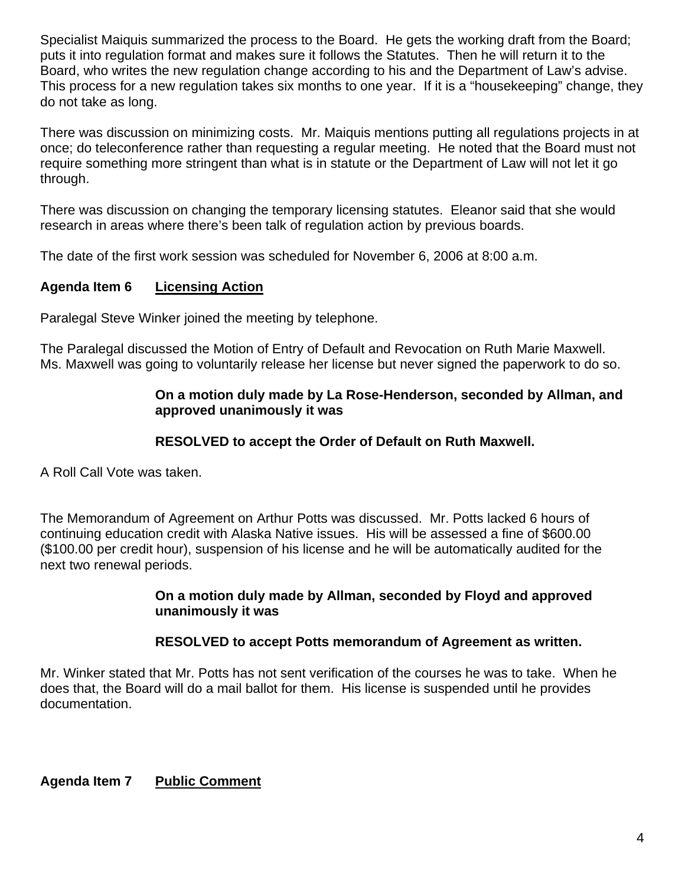Specialist Maiquis summarized the process to the Board. He gets the working draft from the Board; puts it into regulation format and makes sure it follows the Statutes. Then he will return it to the Board, who writes the new regulation change according to his and the Department of Law's advise. This process for a new regulation takes six months to one year. If it is a "housekeeping" change, they do not take as long.

 There was discussion on minimizing costs. Mr. Maiquis mentions putting all regulations projects in at once; do teleconference rather than requesting a regular meeting. He noted that the Board must not require something more stringent than what is in statute or the Department of Law will not let it go through.

There was discussion on changing the temporary licensing statutes. Eleanor said that she would research in areas where there's been talk of regulation action by previous boards.

The date of the first work session was scheduled for November 6, 2006 at 8:00 a.m.

# **Agenda Item 6 Licensing Action**

Paralegal Steve Winker joined the meeting by telephone.

The Paralegal discussed the Motion of Entry of Default and Revocation on Ruth Marie Maxwell. Ms. Maxwell was going to voluntarily release her license but never signed the paperwork to do so.

## **On a motion duly made by La Rose-Henderson, seconded by Allman, and approved unanimously it was**

# **RESOLVED to accept the Order of Default on Ruth Maxwell.**

A Roll Call Vote was taken.

The Memorandum of Agreement on Arthur Potts was discussed. Mr. Potts lacked 6 hours of continuing education credit with Alaska Native issues. His will be assessed a fine of \$600.00 (\$100.00 per credit hour), suspension of his license and he will be automatically audited for the next two renewal periods.

### **On a motion duly made by Allman, seconded by Floyd and approved unanimously it was**

## **RESOLVED to accept Potts memorandum of Agreement as written.**

Mr. Winker stated that Mr. Potts has not sent verification of the courses he was to take. When he does that, the Board will do a mail ballot for them. His license is suspended until he provides documentation.

## **Agenda Item 7 Public Comment**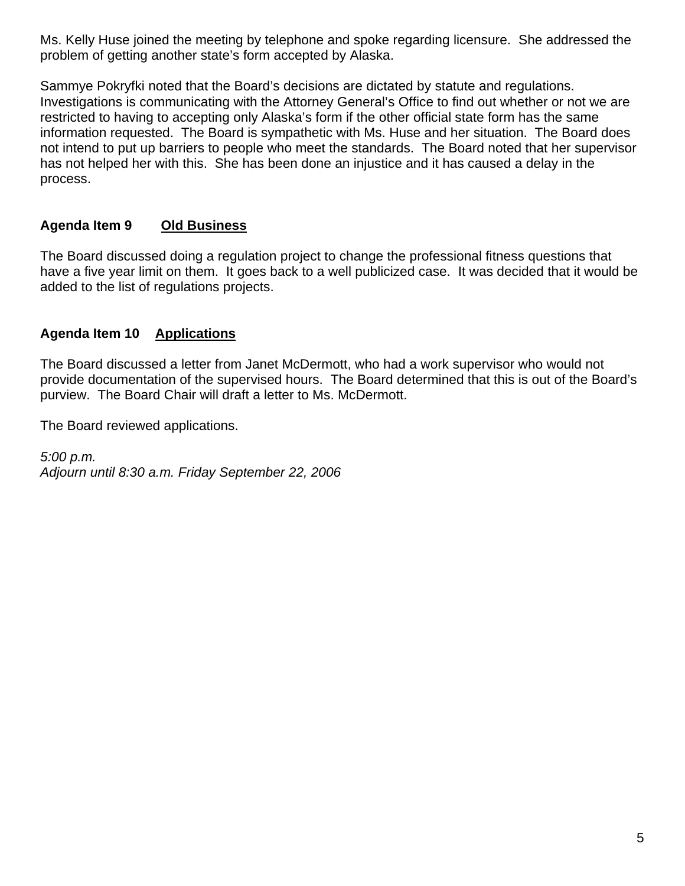Ms. Kelly Huse joined the meeting by telephone and spoke regarding licensure. She addressed the problem of getting another state's form accepted by Alaska.

Sammye Pokryfki noted that the Board's decisions are dictated by statute and regulations. Investigations is communicating with the Attorney General's Office to find out whether or not we are restricted to having to accepting only Alaska's form if the other official state form has the same information requested. The Board is sympathetic with Ms. Huse and her situation. The Board does not intend to put up barriers to people who meet the standards. The Board noted that her supervisor has not helped her with this. She has been done an injustice and it has caused a delay in the process.

# **Agenda Item 9 Old Business**

The Board discussed doing a regulation project to change the professional fitness questions that have a five year limit on them. It goes back to a well publicized case. It was decided that it would be added to the list of regulations projects.

## **Agenda Item 10 Applications**

The Board discussed a letter from Janet McDermott, who had a work supervisor who would not provide documentation of the supervised hours. The Board determined that this is out of the Board's purview. The Board Chair will draft a letter to Ms. McDermott.

The Board reviewed applications.

*5:00 p.m. Adjourn until 8:30 a.m. Friday September 22, 2006*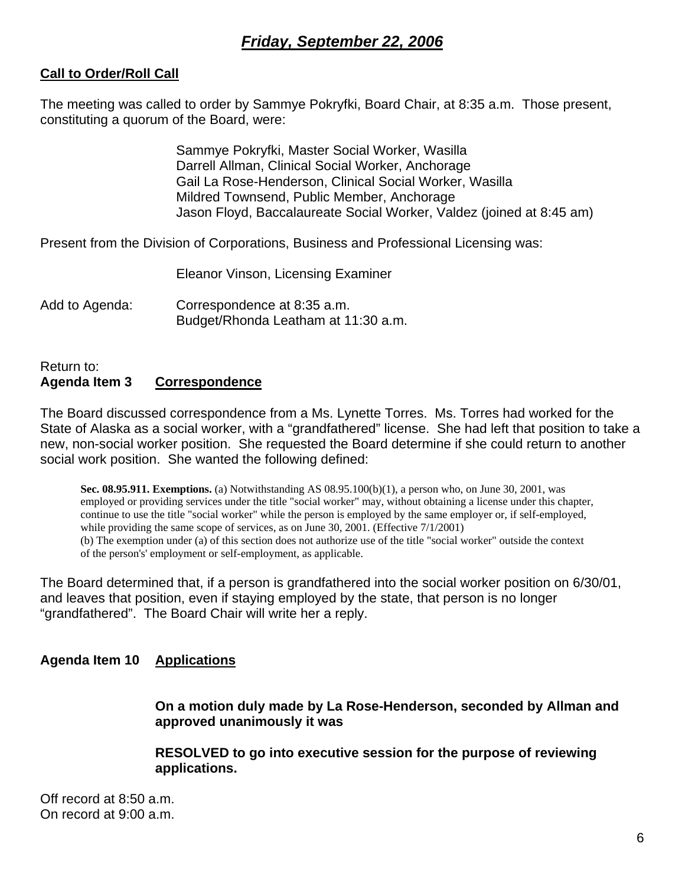# *Friday, September 22, 2006*

## **Call to Order/Roll Call**

The meeting was called to order by Sammye Pokryfki, Board Chair, at 8:35 a.m. Those present, constituting a quorum of the Board, were:

> Sammye Pokryfki, Master Social Worker, Wasilla Darrell Allman, Clinical Social Worker, Anchorage Gail La Rose-Henderson, Clinical Social Worker, Wasilla Mildred Townsend, Public Member, Anchorage Jason Floyd, Baccalaureate Social Worker, Valdez (joined at 8:45 am)

Present from the Division of Corporations, Business and Professional Licensing was:

Eleanor Vinson, Licensing Examiner

Add to Agenda: Correspondence at 8:35 a.m. Budget/Rhonda Leatham at 11:30 a.m.

#### Return to: **Agenda Item 3 Correspondence**

The Board discussed correspondence from a Ms. Lynette Torres. Ms. Torres had worked for the State of Alaska as a social worker, with a "grandfathered" license. She had left that position to take a new, non-social worker position. She requested the Board determine if she could return to another social work position. She wanted the following defined:

**Sec. 08.95.911. Exemptions.** (a) Notwithstanding AS 08.95.100(b)(1), a person who, on June 30, 2001, was employed or providing services under the title "social worker" may, without obtaining a license under this chapter, continue to use the title "social worker" while the person is employed by the same employer or, if self-employed, while providing the same scope of services, as on June 30, 2001. (Effective 7/1/2001) (b) The exemption under (a) of this section does not authorize use of the title "social worker" outside the context of the person's' employment or self-employment, as applicable.

The Board determined that, if a person is grandfathered into the social worker position on 6/30/01, and leaves that position, even if staying employed by the state, that person is no longer "grandfathered". The Board Chair will write her a reply.

### **Agenda Item 10 Applications**

**On a motion duly made by La Rose-Henderson, seconded by Allman and approved unanimously it was** 

**RESOLVED to go into executive session for the purpose of reviewing applications.** 

Off record at 8:50 a.m. On record at 9:00 a.m.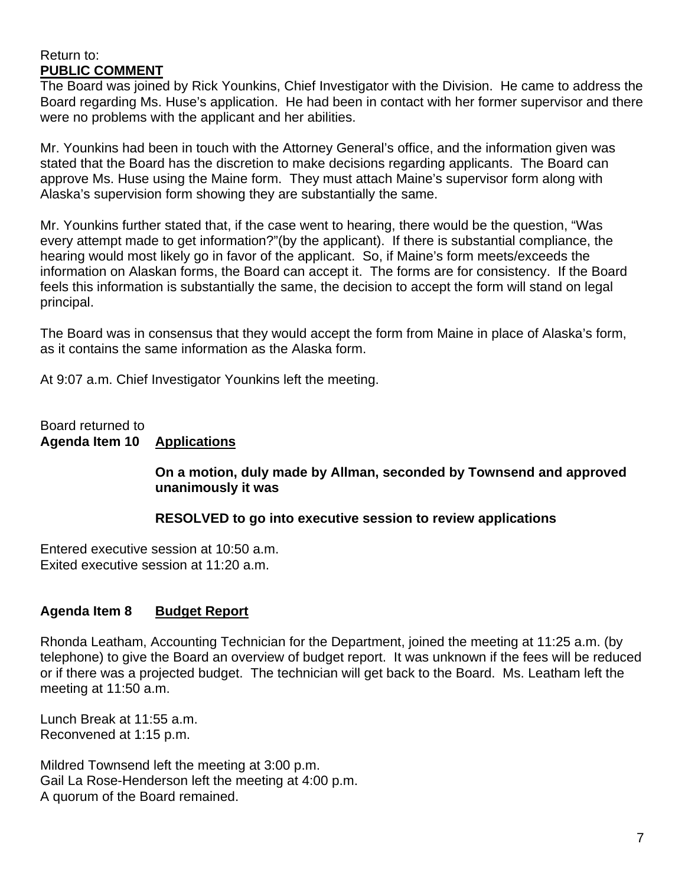#### Return to: **PUBLIC COMMENT**

The Board was joined by Rick Younkins, Chief Investigator with the Division. He came to address the Board regarding Ms. Huse's application. He had been in contact with her former supervisor and there were no problems with the applicant and her abilities.

Mr. Younkins had been in touch with the Attorney General's office, and the information given was stated that the Board has the discretion to make decisions regarding applicants. The Board can approve Ms. Huse using the Maine form. They must attach Maine's supervisor form along with Alaska's supervision form showing they are substantially the same.

Mr. Younkins further stated that, if the case went to hearing, there would be the question, "Was every attempt made to get information?"(by the applicant). If there is substantial compliance, the hearing would most likely go in favor of the applicant. So, if Maine's form meets/exceeds the information on Alaskan forms, the Board can accept it. The forms are for consistency. If the Board feels this information is substantially the same, the decision to accept the form will stand on legal principal.

The Board was in consensus that they would accept the form from Maine in place of Alaska's form, as it contains the same information as the Alaska form.

At 9:07 a.m. Chief Investigator Younkins left the meeting.

Board returned to **Agenda Item 10 Applications**

### **On a motion, duly made by Allman, seconded by Townsend and approved unanimously it was**

### **RESOLVED to go into executive session to review applications**

Entered executive session at 10:50 a.m. Exited executive session at 11:20 a.m.

## **Agenda Item 8 Budget Report**

Rhonda Leatham, Accounting Technician for the Department, joined the meeting at 11:25 a.m. (by telephone) to give the Board an overview of budget report. It was unknown if the fees will be reduced or if there was a projected budget. The technician will get back to the Board. Ms. Leatham left the meeting at 11:50 a.m.

Lunch Break at 11:55 a.m. Reconvened at 1:15 p.m.

Mildred Townsend left the meeting at 3:00 p.m. Gail La Rose-Henderson left the meeting at 4:00 p.m. A quorum of the Board remained.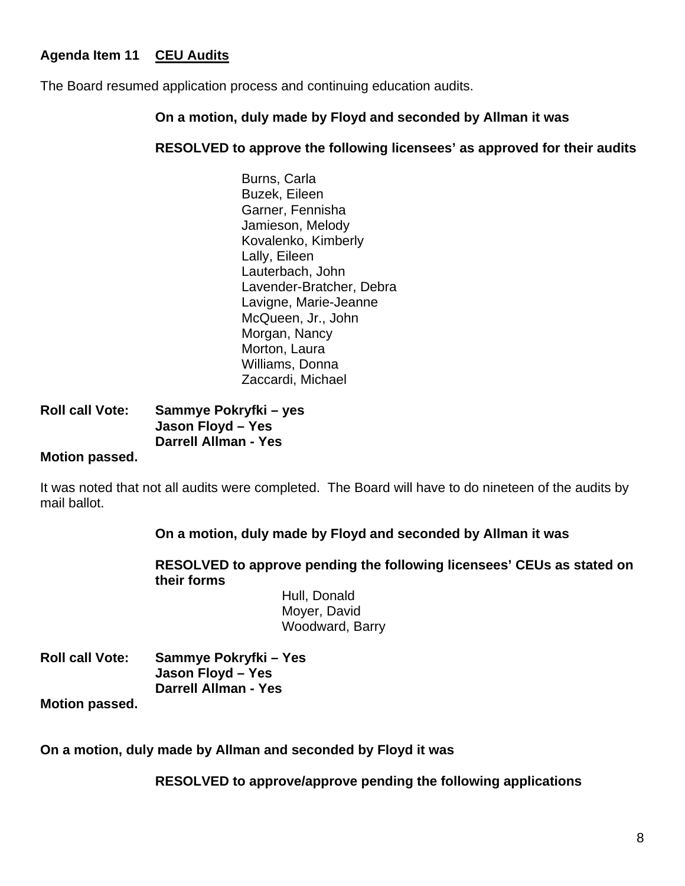# **Agenda Item 11 CEU Audits**

The Board resumed application process and continuing education audits.

### **On a motion, duly made by Floyd and seconded by Allman it was**

### **RESOLVED to approve the following licensees' as approved for their audits**

Burns, Carla Buzek, Eileen Garner, Fennisha Jamieson, Melody Kovalenko, Kimberly Lally, Eileen Lauterbach, John Lavender-Bratcher, Debra Lavigne, Marie-Jeanne McQueen, Jr., John Morgan, Nancy Morton, Laura Williams, Donna Zaccardi, Michael

# **Roll call Vote: Sammye Pokryfki – yes Jason Floyd – Yes Darrell Allman - Yes**

### **Motion passed.**

It was noted that not all audits were completed. The Board will have to do nineteen of the audits by mail ballot.

### **On a motion, duly made by Floyd and seconded by Allman it was**

#### **RESOLVED to approve pending the following licensees' CEUs as stated on their forms**

 Hull, Donald Moyer, David Woodward, Barry

| <b>Roll call Vote:</b> | Sammye Pokryfki – Yes       |
|------------------------|-----------------------------|
|                        | Jason Floyd - Yes           |
|                        | <b>Darrell Allman - Yes</b> |

**Motion passed.** 

**On a motion, duly made by Allman and seconded by Floyd it was** 

**RESOLVED to approve/approve pending the following applications**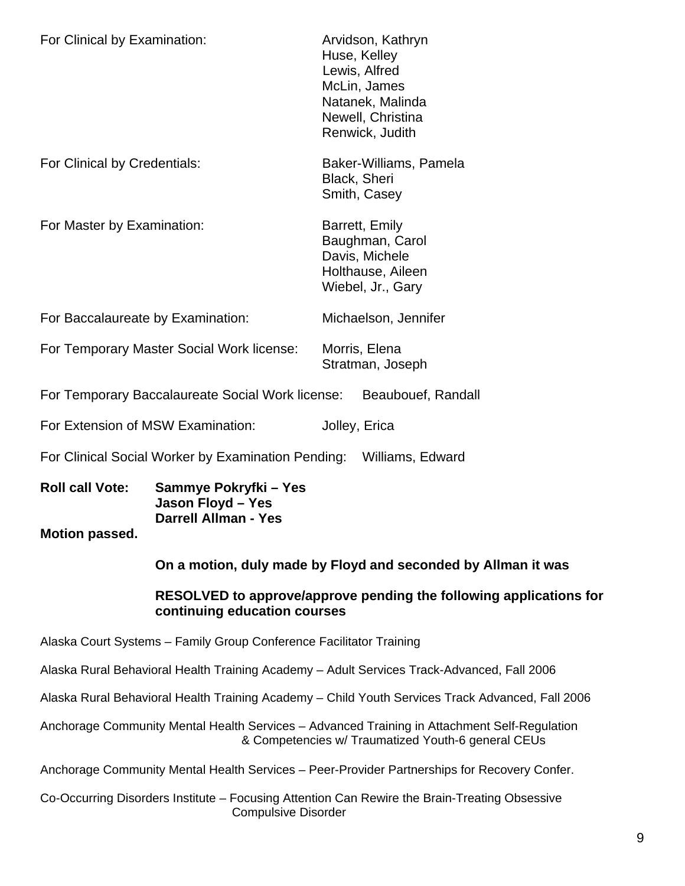| For Clinical by Examination:                                        |  | Arvidson, Kathryn<br>Huse, Kelley<br>Lewis, Alfred<br>McLin, James<br>Natanek, Malinda<br>Newell, Christina<br>Renwick, Judith |  |
|---------------------------------------------------------------------|--|--------------------------------------------------------------------------------------------------------------------------------|--|
| For Clinical by Credentials:                                        |  | Baker-Williams, Pamela<br>Black, Sheri<br>Smith, Casey                                                                         |  |
| For Master by Examination:                                          |  | Barrett, Emily<br>Baughman, Carol<br>Davis, Michele<br>Holthause, Aileen<br>Wiebel, Jr., Gary                                  |  |
| For Baccalaureate by Examination:                                   |  | Michaelson, Jennifer                                                                                                           |  |
| For Temporary Master Social Work license:                           |  | Morris, Elena<br>Stratman, Joseph                                                                                              |  |
| For Temporary Baccalaureate Social Work license:                    |  | Beaubouef, Randall                                                                                                             |  |
| For Extension of MSW Examination:                                   |  | Jolley, Erica                                                                                                                  |  |
| For Clinical Social Worker by Examination Pending: Williams, Edward |  |                                                                                                                                |  |

**Roll call Vote: Sammye Pokryfki – Yes Jason Floyd – Yes Darrell Allman - Yes** 

#### **Motion passed.**

**On a motion, duly made by Floyd and seconded by Allman it was** 

#### **RESOLVED to approve/approve pending the following applications for continuing education courses**

Alaska Court Systems – Family Group Conference Facilitator Training

Alaska Rural Behavioral Health Training Academy – Adult Services Track-Advanced, Fall 2006

Alaska Rural Behavioral Health Training Academy – Child Youth Services Track Advanced, Fall 2006

Anchorage Community Mental Health Services – Advanced Training in Attachment Self-Regulation & Competencies w/ Traumatized Youth-6 general CEUs

Anchorage Community Mental Health Services – Peer-Provider Partnerships for Recovery Confer.

Co-Occurring Disorders Institute – Focusing Attention Can Rewire the Brain-Treating Obsessive Compulsive Disorder